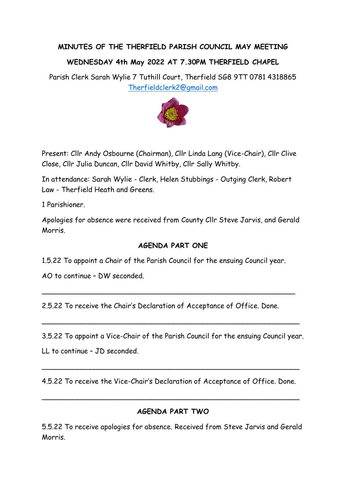## **MINUTES OF THE THERFIELD PARISH COUNCIL MAY MEETING**

## **WEDNESDAY 4th May 2022 AT 7.30PM THERFIELD CHAPEL**

Parish Clerk Sarah Wylie 7 Tuthill Court, Therfield SG8 9TT 0781 4318865 [Therfieldclerk2@gmail.com](mailto:Therfieldclerk2@gmail.com)



Present: Cllr Andy Osbourne (Chairman), Cllr Linda Lang (Vice-Chair), Cllr Clive Close, Cllr Julia Duncan, Cllr David Whitby, Cllr Sally Whitby.

In attendance: Sarah Wylie - Clerk, Helen Stubbings - Outging Clerk, Robert Law - Therfield Heath and Greens.

1 Parishioner.

Apologies for absence were received from County Cllr Steve Jarvis, and Gerald Morris.

## **AGENDA PART ONE**

1.5.22 To appoint a Chair of the Parish Council for the ensuing Council year.

AO to continue – DW seconded.

2.5.22 To receive the Chair's Declaration of Acceptance of Office. Done.

\_\_\_\_\_\_\_\_\_\_\_\_\_\_\_\_\_\_\_\_\_\_\_\_\_\_\_\_\_\_\_\_\_\_\_\_\_\_\_\_\_\_\_\_\_\_\_\_\_\_\_\_\_\_\_\_\_\_

3.5.22 To appoint a Vice-Chair of the Parish Council for the ensuing Council year.

\_\_\_\_\_\_\_\_\_\_\_\_\_\_\_\_\_\_\_\_\_\_\_\_\_\_\_\_\_\_\_\_\_\_\_\_\_\_\_\_\_\_\_\_\_\_\_\_\_\_\_\_\_\_\_\_\_\_\_

LL to continue – JD seconded.

4.5.22 To receive the Vice-Chair's Declaration of Acceptance of Office. Done.

\_\_\_\_\_\_\_\_\_\_\_\_\_\_\_\_\_\_\_\_\_\_\_\_\_\_\_\_\_\_\_\_\_\_\_\_\_\_\_\_\_\_\_\_\_\_\_\_\_\_\_\_\_\_\_\_\_\_\_

\_\_\_\_\_\_\_\_\_\_\_\_\_\_\_\_\_\_\_\_\_\_\_\_\_\_\_\_\_\_\_\_\_\_\_\_\_\_\_\_\_\_\_\_\_\_\_\_\_\_\_\_\_\_\_\_\_\_\_

## **AGENDA PART TWO**

5.5.22 To receive apologies for absence. Received from Steve Jarvis and Gerald Morris.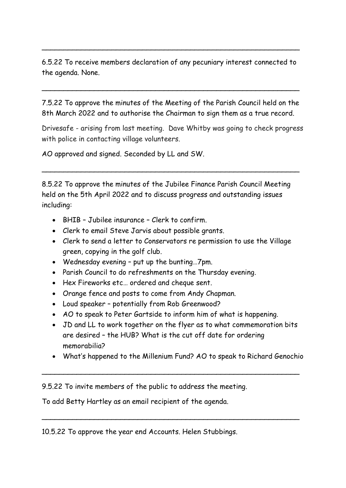6.5.22 To receive members declaration of any pecuniary interest connected to the agenda. None.

\_\_\_\_\_\_\_\_\_\_\_\_\_\_\_\_\_\_\_\_\_\_\_\_\_\_\_\_\_\_\_\_\_\_\_\_\_\_\_\_\_\_\_\_\_\_\_\_\_\_\_\_\_\_\_\_\_\_\_

\_\_\_\_\_\_\_\_\_\_\_\_\_\_\_\_\_\_\_\_\_\_\_\_\_\_\_\_\_\_\_\_\_\_\_\_\_\_\_\_\_\_\_\_\_\_\_\_\_\_\_\_\_\_\_\_\_\_\_

7.5.22 To approve the minutes of the Meeting of the Parish Council held on the 8th March 2022 and to authorise the Chairman to sign them as a true record.

Drivesafe - arising from last meeting. Dave Whitby was going to check progress with police in contacting village volunteers.

AO approved and signed. Seconded by LL and SW.

8.5.22 To approve the minutes of the Jubilee Finance Parish Council Meeting held on the 5th April 2022 and to discuss progress and outstanding issues including:

\_\_\_\_\_\_\_\_\_\_\_\_\_\_\_\_\_\_\_\_\_\_\_\_\_\_\_\_\_\_\_\_\_\_\_\_\_\_\_\_\_\_\_\_\_\_\_\_\_\_\_\_\_\_\_\_\_\_\_

- BHIB Jubilee insurance Clerk to confirm.
- Clerk to email Steve Jarvis about possible grants.
- Clerk to send a letter to Conservators re permission to use the Village green, copying in the golf club.
- Wednesday evening put up the bunting…7pm.
- Parish Council to do refreshments on the Thursday evening.
- Hex Fireworks etc… ordered and cheque sent.
- Orange fence and posts to come from Andy Chapman.
- Loud speaker potentially from Rob Greenwood?
- AO to speak to Peter Gartside to inform him of what is happening.
- JD and LL to work together on the flyer as to what commemoration bits are desired – the HUB? What is the cut off date for ordering memorabilia?
- What's happened to the Millenium Fund? AO to speak to Richard Genochio

\_\_\_\_\_\_\_\_\_\_\_\_\_\_\_\_\_\_\_\_\_\_\_\_\_\_\_\_\_\_\_\_\_\_\_\_\_\_\_\_\_\_\_\_\_\_\_\_\_\_\_\_\_\_\_\_\_\_\_

\_\_\_\_\_\_\_\_\_\_\_\_\_\_\_\_\_\_\_\_\_\_\_\_\_\_\_\_\_\_\_\_\_\_\_\_\_\_\_\_\_\_\_\_\_\_\_\_\_\_\_\_\_\_\_\_\_\_\_

9.5.22 To invite members of the public to address the meeting.

To add Betty Hartley as an email recipient of the agenda.

10.5.22 To approve the year end Accounts. Helen Stubbings.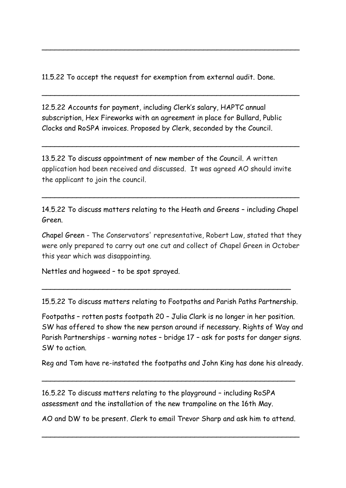11.5.22 To accept the request for exemption from external audit. Done.

\_\_\_\_\_\_\_\_\_\_\_\_\_\_\_\_\_\_\_\_\_\_\_\_\_\_\_\_\_\_\_\_\_\_\_\_\_\_\_\_\_\_\_\_\_\_\_\_\_\_\_\_\_\_\_\_\_\_\_

\_\_\_\_\_\_\_\_\_\_\_\_\_\_\_\_\_\_\_\_\_\_\_\_\_\_\_\_\_\_\_\_\_\_\_\_\_\_\_\_\_\_\_\_\_\_\_\_\_\_\_\_\_\_\_\_\_\_\_

12.5.22 Accounts for payment, including Clerk's salary, HAPTC annual subscription, Hex Fireworks with an agreement in place for Bullard, Public Clocks and RoSPA invoices. Proposed by Clerk, seconded by the Council.

13.5.22 To discuss appointment of new member of the Council. A written application had been received and discussed. It was agreed AO should invite the applicant to join the council.

\_\_\_\_\_\_\_\_\_\_\_\_\_\_\_\_\_\_\_\_\_\_\_\_\_\_\_\_\_\_\_\_\_\_\_\_\_\_\_\_\_\_\_\_\_\_\_\_\_\_\_\_\_\_\_\_\_\_\_

14.5.22 To discuss matters relating to the Heath and Greens – including Chapel Green.

\_\_\_\_\_\_\_\_\_\_\_\_\_\_\_\_\_\_\_\_\_\_\_\_\_\_\_\_\_\_\_\_\_\_\_\_\_\_\_\_\_\_\_\_\_\_\_\_\_\_\_\_\_\_\_\_\_\_\_

Chapel Green - The Conservators' representative, Robert Law, stated that they were only prepared to carry out one cut and collect of Chapel Green in October this year which was disappointing.

Nettles and hogweed – to be spot sprayed.

15.5.22 To discuss matters relating to Footpaths and Parish Paths Partnership.

\_\_\_\_\_\_\_\_\_\_\_\_\_\_\_\_\_\_\_\_\_\_\_\_\_\_\_\_\_\_\_\_\_\_\_\_\_\_\_\_\_\_\_\_\_\_\_\_\_\_\_\_\_\_\_\_\_

Footpaths – rotten posts footpath 20 – Julia Clark is no longer in her position. SW has offered to show the new person around if necessary. Rights of Way and Parish Partnerships - warning notes – bridge 17 – ask for posts for danger signs. SW to action.

Reg and Tom have re-instated the footpaths and John King has done his already.

\_\_\_\_\_\_\_\_\_\_\_\_\_\_\_\_\_\_\_\_\_\_\_\_\_\_\_\_\_\_\_\_\_\_\_\_\_\_\_\_\_\_\_\_\_\_\_\_\_\_\_\_\_\_\_\_\_\_

16.5.22 To discuss matters relating to the playground – including RoSPA assessment and the installation of the new trampoline on the 16th May.

AO and DW to be present. Clerk to email Trevor Sharp and ask him to attend.

\_\_\_\_\_\_\_\_\_\_\_\_\_\_\_\_\_\_\_\_\_\_\_\_\_\_\_\_\_\_\_\_\_\_\_\_\_\_\_\_\_\_\_\_\_\_\_\_\_\_\_\_\_\_\_\_\_\_\_